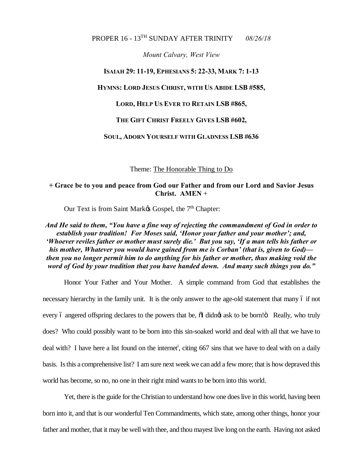## PROPER 16 - 13TH SUNDAY AFTER TRINITY *08/26/18*

*Mount Calvary, West View*

#### **ISAIAH 29: 11-19, EPHESIANS 5: 22-33, MARK 7: 1-13**

#### **HYMNS: LORD JESUS CHRIST, WITH US ABIDE LSB #585,**

### **LORD, HELP US EVER TO RETAIN LSB #865,**

#### **THE GIFT CHRIST FREELY GIVES LSB #602,**

### **SOUL, ADORN YOURSELF WITH GLADNESS LSB #636**

Theme: The Honorable Thing to Do

# **+ Grace be to you and peace from God our Father and from our Lord and Savior Jesus Christ. AMEN** +

Our Text is from Saint Mark $\alpha$  Gospel, the 7<sup>th</sup> Chapter:

*And He said to them, "You have a fine way of rejecting the commandment of God in order to establish your tradition! For Moses said, 'Honor your father and your mother'; and, 'Whoever reviles father or mother must surely die.' But you say, 'If a man tells his father or his mother, Whatever you would have gained from me is Corban' (that is, given to God) then you no longer permit him to do anything for his father or mother, thus making void the word of God by your tradition that you have handed down. And many such things you do."*

Honor Your Father and Your Mother. A simple command from God that establishes the necessary hierarchy in the family unit. It is the only answer to the age-old statement that many  $\acute{o}$  if not every 6 angered offspring declares to the powers that be,  $\ddot{\text{o}}$  didnot ask to be born! $\ddot{\text{o}}$  Really, who truly does? Who could possibly want to be born into this sin-soaked world and deal with all that we have to deal with? I have here a list found on the internet<sup>i</sup>, citing 667 sins that we have to deal with on a daily basis. Is this a comprehensive list? I am sure next week we can add a few more; that is how depraved this world has become, so no, no one in their right mind wants to be born into this world.

Yet, there is the guide for the Christian to understand how one does live in this world, having been born into it, and that is our wonderful Ten Commandments, which state, among other things, honor your father and mother, that it may be well with thee, and thou mayest live long on the earth. Having not asked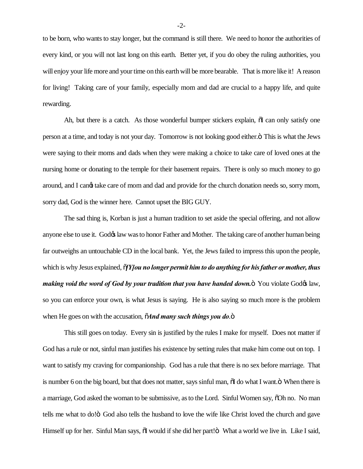to be born, who wants to stay longer, but the command is still there. We need to honor the authorities of every kind, or you will not last long on this earth. Better yet, if you do obey the ruling authorities, you will enjoy your life more and your time on this earth will be more bearable. That is more like it! A reason for living! Taking care of your family, especially mom and dad are crucial to a happy life, and quite rewarding.

Ah, but there is a catch. As those wonderful bumper stickers explain,  $\delta I$  can only satisfy one person at a time, and today is not your day. Tomorrow is not looking good either. This is what the Jews were saying to their moms and dads when they were making a choice to take care of loved ones at the nursing home or donating to the temple for their basement repairs. There is only so much money to go around, and I cangt take care of mom and dad and provide for the church donation needs so, sorry mom, sorry dad, God is the winner here. Cannot upset the BIG GUY.

The sad thing is, Korban is just a human tradition to set aside the special offering, and not allow anyone else to use it. Godøs law was to honor Father and Mother. The taking care of another human being far outweighs an untouchable CD in the local bank. Yet, the Jews failed to impress this upon the people, which is why Jesus explained,  $\delta Y$ *[Ou no longer permit him to do anything for his father or mother, thus making void the word of God by your tradition that you have handed down.* You violate God taw, so you can enforce your own, is what Jesus is saying. He is also saying so much more is the problem when He goes on with the accusation,  $\tilde{o}$ *And many such things you do.* $\ddot{o}$ 

This still goes on today. Every sin is justified by the rules I make for myself. Does not matter if God has a rule or not, sinful man justifies his existence by setting rules that make him come out on top. I want to satisfy my craving for companionship. God has a rule that there is no sex before marriage. That is number 6 on the big board, but that does not matter, says sinful man,  $\delta I$  do what I want. $\delta$  When there is a marriage, God asked the woman to be submissive, as to the Lord. Sinful Women say,  $\delta$ Oh no. No man tells me what to do!" God also tells the husband to love the wife like Christ loved the church and gave Himself up for her. Sinful Man says,  $\ddot{\text{o}}$  would if she did her part! $\ddot{\text{o}}$  What a world we live in. Like I said,

-2-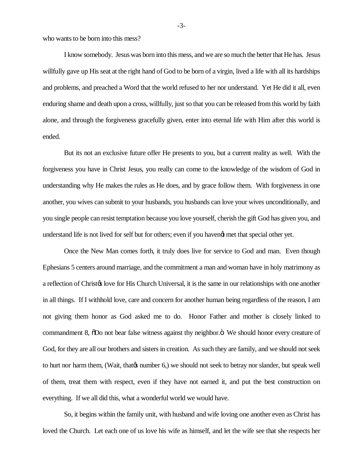who wants to be born into this mess?

I know somebody. Jesus was born into this mess, and we are so much the better that He has. Jesus willfully gave up His seat at the right hand of God to be born of a virgin, lived a life with all its hardships and problems, and preached a Word that the world refused to her nor understand. Yet He did it all, even enduring shame and death upon a cross, willfully, just so that you can be released from this world by faith alone, and through the forgiveness gracefully given, enter into eternal life with Him after this world is ended.

But its not an exclusive future offer He presents to you, but a current reality as well. With the forgiveness you have in Christ Jesus, you really can come to the knowledge of the wisdom of God in understanding why He makes the rules as He does, and by grace follow them. With forgiveness in one another, you wives can submit to your husbands, you husbands can love your wives unconditionally, and you single people can resist temptation because you love yourself, cherish the gift God has given you, and understand life is not lived for self but for others; even if you havengt met that special other yet.

Once the New Man comes forth, it truly does live for service to God and man. Even though Ephesians 5 centers around marriage, and the commitment a man and woman have in holy matrimony as a reflection of Christ $\alpha$  love for His Church Universal, it is the same in our relationships with one another in all things. If I withhold love, care and concern for another human being regardless of the reason, I am not giving them honor as God asked me to do. Honor Father and mother is closely linked to commandment 8,  $\delta$ Do not bear false witness against thy neighbor. $\ddot{\text{o}}$  We should honor every creature of God, for they are all our brothers and sisters in creation. As such they are family, and we should not seek to hurt nor harm them, (Wait, that is number 6,) we should not seek to betray nor slander, but speak well of them, treat them with respect, even if they have not earned it, and put the best construction on everything. If we all did this, what a wonderful world we would have.

So, it begins within the family unit, with husband and wife loving one another even as Christ has loved the Church. Let each one of us love his wife as himself, and let the wife see that she respects her

-3-